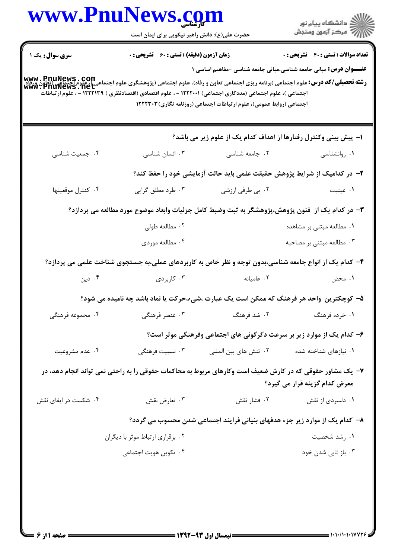|                                                                                                                                                                                               | www.PnuNews.com<br>حضرت علی(ع): دانش راهبر نیکویی برای ایمان است                                                                                          |                                                                                                                                                   | الارد دانشگاه پيام نور<br>۱۳۸۸ مرکز آزمون وسنجش |
|-----------------------------------------------------------------------------------------------------------------------------------------------------------------------------------------------|-----------------------------------------------------------------------------------------------------------------------------------------------------------|---------------------------------------------------------------------------------------------------------------------------------------------------|-------------------------------------------------|
| <b>سری سوال :</b> یک ۱<br>ر <b>شته تحصیلی/کد درس: ع</b> لوم اجتماعی (برنامه ریزی اجتماعی تعاون و رفاه)، علوم اجتماعی (پژوهشگری علوم اجتماعی (تعلیل /هنگرورگاهی)<br><b>www : PnuNews . net</b> | زمان آزمون (دقیقه) : تستی : 60 ٪ تشریحی : 0<br>اجتماعی )، علوم اجتماعی (مددکاری اجتماعی) ۱۲۲۲۰۰۱ - ، علوم اقتصادی (اقتصادنظری ) ۱۲۲۲۱۳۹ - ، علوم ارتباطات | <b>عنــــوان درس:</b> مبانی جامعه شناسی،مبانی جامعه شناسی -مفاهیم اساسی ۱<br>اجتماعی (روابط عمومی)، علوم ارتباطات اجتماعی (روزنامه نگاری) ۱۲۲۲۳۰۳ | <b>تعداد سوالات : تستی : 40 ٪ تشریحی : 0</b>    |
|                                                                                                                                                                                               |                                                                                                                                                           | ا– پیش بینی وکنترل رفتارها از اهداف کدام یک از علوم زیر می باشد؟                                                                                  |                                                 |
| ۰۴ جمعیت شناسی                                                                                                                                                                                | ۰۳ انسان شناسی                                                                                                                                            | ۰۲ جامعه شناسی                                                                                                                                    | ٠١ روانشناسى                                    |
|                                                                                                                                                                                               |                                                                                                                                                           | ۲- در کدامیک از شرایط پژوهش حقیقت علمی باید حالت آزمایشی خود را حفظ کند؟                                                                          |                                                 |
| ۰۴ كنترل موقعيتها                                                                                                                                                                             | ۰۳ طرد مطلق گرایی                                                                                                                                         | ۰۲ بي طرفي ارزشي                                                                                                                                  | ۰۱ عینیت                                        |
|                                                                                                                                                                                               | ۳- در کدام یک از ًفنون پژوهش،پژوهشگر به ثبت وضبط کامل جزئیات وابعاد موضوع مورد مطالعه می پردازد؟                                                          |                                                                                                                                                   |                                                 |
|                                                                                                                                                                                               | ۰۲ مطالعه طولی                                                                                                                                            |                                                                                                                                                   | ۰۱ مطالعه مبتنی بر مشاهده                       |
|                                                                                                                                                                                               | ۰۴ مطالعه موردي                                                                                                                                           |                                                                                                                                                   | ۰۳ مطالعه مبتنى بر مصاحبه                       |
|                                                                                                                                                                                               | ۴– کدام یک از انواع جامعه شناسی،بدون توجه و نظر خاص به کاربردهای عملی،به جستجوی شناخت علمی می پردازد؟                                                     |                                                                                                                                                   |                                                 |
| ۰۴ دین                                                                                                                                                                                        | ۰۳ کاربردی                                                                                                                                                | ٠٢ عاميانه                                                                                                                                        | ١. محض                                          |
|                                                                                                                                                                                               | ۵– کوچکترین ۖ واحد هر فرهنگ که ممکن است یک عبارت ،شیء،حرکت یا نماد باشد چه نامیده می شود؟                                                                 |                                                                                                                                                   |                                                 |
| ۰۴ مجموعه فرهنگی                                                                                                                                                                              | ۰۳ عنصر فرهنگی                                                                                                                                            | ۰۲ ضد فرهنگ                                                                                                                                       | ۰۱ خرده فرهنگ                                   |
|                                                                                                                                                                                               |                                                                                                                                                           | ۶– کدام یک از موارد زیر بر سرعت دگرگونی های اجتماعی وفرهنگی موثر است؟                                                                             |                                                 |
| ۰۴ عدم مشروعيت                                                                                                                                                                                | ۰۳ نسبیت فرهنگی                                                                                                                                           | ۰۲ تنش های بین المللی                                                                                                                             | ۰۱ نیازهای شناخته شده                           |
|                                                                                                                                                                                               | ۷– یک مشاور حقوقی که در کارش ضعیف است وکارهای مربوط به محاکمات حقوقی را به راحتی نمی تواند انجام دهد، در                                                  |                                                                                                                                                   | معرض کدام گزینه قرار می گیرد؟                   |
| ۰۴ شکست در ایفای نقش                                                                                                                                                                          | ۰۳ تعارض نقش                                                                                                                                              | ۰۲ فشار نقش                                                                                                                                       | ۰۱ دلسردی از نقش                                |
|                                                                                                                                                                                               |                                                                                                                                                           | ۸– کدام یک از موارد زیر جزء هدفهای بنیانی فرایند اجتماعی شدن محسوب می گردد؟                                                                       |                                                 |
|                                                                                                                                                                                               | ۰۲ برقراری ارتباط موثر با دیگران                                                                                                                          |                                                                                                                                                   | ۰۱ رشد شخصیت                                    |
|                                                                                                                                                                                               | ۰۴ تکوین هویت اجتماعی                                                                                                                                     |                                                                                                                                                   | ۰۳ باز تابی شدن خود                             |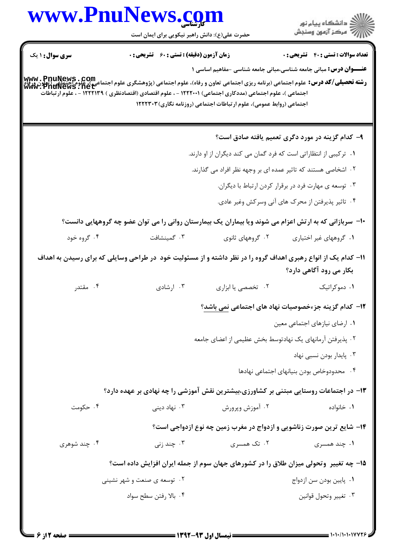## www.PnuNews.com .<br>گ دانشگاه پیام نور است.<br>است مرکز آزمون وسنجش حضرت علی(ع): دانش راهبر نیکویی برای ایمان است **تعداد سوالات : تستي : 40 - تشريحي : 0 سری سوال : ۱ یک زمان آزمون (دقیقه) : تستی : 60 ٪ تشریحی : 0 عنـــوان درس:** مبانی جامعه شناسی،مبانی جامعه شناسی -مفاهیم اساسی ۱ **www . PnuNews . Com**<br>و**شته تحصیلی/کد درس:** علوم اجتماعی (برنامه ریزی اجتماعی تعاون و رفاه)، علوم اجتماعی (پژوهشگری علوم اجتماعی (تعاون ورفاه<br>www . PnuNews . net اجتماعی )، علوم اجتماعی (مددکاری اجتماعی) ۱۲۲۲۰۰۱ - ، علوم اقتصادی (اقتصادنظری ) ۱۲۲۲۱۳۹ - ، علوم ار تباطات اجتماعی (روابط عمومی)، علوم ارتباطات اجتماعی (روزنامه نگاری) ۱۲۲۲۳۰۳ ۹– کدام گزینه در مورد دگری تعمیم یافته صادق است؟ ۰۱ ترکیبی از انتظاراتی است که فرد گمان می کند دیگران از او دارند. ۲ . اشخاصی هستند که تاثیر عمده ای بر وجهه نظر افراد می گذارند. ۰۳ توسعه ی مهارت فرد در برقرار کردن ارتباط با دیگران. ۰۴ تاثیر پذیرفتن از محرک های آنی وسرکش وغیر عادی. ۱۰− سربازانی که به ارتش اعزام می شوند ویا بیماران یک بیمارستان روانی را می توان عضو چه گروههایی دانست؟ ۰۳ گمىنشافت ۲. گروههای ثانوی ۰۴ گروه خود ۰۱ گروههای غیر اختیاری 11- کدام یک از انواع رهبری اهداف گروه را در نظر داشته و از مسئولیت خود در طراحی وسایلی که برای رسیدن به اهداف بکار می رود آگاهی دارد؟ ۰۴ مقتدر ۰۳ ارشادی ۰۲ تخصصی یا ابزاری ۰۱ دموکراتیک **۱۲**– کدام گزینه جزءخصوصیات نهاد های اجتماعی نمی باشد؟ ۰۱ ارضای نیازهای اجتماعی معین ٢. يذيرفتن آرمانهاي يک نهادتوسط بخش عظيمي از اعضاي جامعه ۰۳ یایدار بودن نسبی نهاد ۰۴ محدودوخاص بودن بنیانهای اجتماعی نهادها ۱۳– در اجتماعات روستایی مبتنی بر کشاورزی،بیشترین نقش آموزشی را چه نهادی بر عهده دارد؟ ۰۴ حکومت نهاد دینے  $\cdot$ ۳ ۰ ۰۲ آموزش وپرورش ۰۱ خانواده ۱۴- شایع ترین صورت زناشویی و ازدواج در مغرب زمین چه نوع ازدواجی است؟ ۰۲ تک همسری ۰۴ چند شوهری ۰۳ چند زنی ۰۱ چند همسری ۱۵– چه تغییر وتحولی میزان طلاق را در کشورهای جهان سوم از جمله ایران افزایش داده است؟ ۰۲ توسعه ی صنعت و شهر نشینی ۰۱ پایین بودن سن ازدواج ۰۴ بالا ,فتن سطح سواد ۰۳ تغییر وتحول قوانین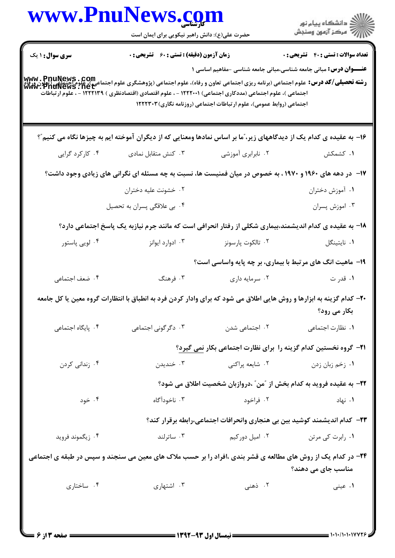| ر دانشگاه پيام نور<br>دانشگاه پيام نور       |                                                                           | www.Pnulvews.com<br>حضرت علی(ع): دانش راهبر نیکویی برای ایمان است                                                    |                                                                                                                                                                              |
|----------------------------------------------|---------------------------------------------------------------------------|----------------------------------------------------------------------------------------------------------------------|------------------------------------------------------------------------------------------------------------------------------------------------------------------------------|
| <b>تعداد سوالات : تستي : 40 - تشريحي : 0</b> | <b>عنـــوان درس:</b> مبانی جامعه شناسی،مبانی جامعه شناسی -مفاهیم اساسی ۱  | زمان آزمون (دقیقه) : تستی : 60 ٪ تشریحی : 0                                                                          | <b>سری سوال : ۱ یک</b>                                                                                                                                                       |
|                                              | اجتماعی (روابط عمومی)، علوم ارتباطات اجتماعی (روزنامه نگاری) ۱۲۲۲۳۰۳      | اجتماعی )، علوم اجتماعی (مددکاری اجتماعی) ۱۲۲۲۰۰۱ - ، علوم اقتصادی (اقتصادنظری ) ۱۲۲۲۱۳۹ - ، علوم ارتباطات           | <b>www . PnuNews . Com</b><br>و <b>شته تحصیلی/کد درس:</b> علوم اجتماعی (برنامه ریزی اجتماعی تعاون و رفاه)، علوم اجتماعی (پژوهشگری علوم اجتماعی (تعاون<br>www . PnuNews . net |
|                                              |                                                                           | ۱۶– به عقیده ی کدام یک از دیدگاههای زیر، ّما بر اساس نمادها ومعنایی که از دیگران آموخته ایم به چیزها نگاه می کنیم ّ؟ |                                                                                                                                                                              |
| ۰۱ کشمکش                                     | ۰۲ نابرابری آموزشی                                                        | ۰۳ کنش متقابل نمادی                                                                                                  | ۰۴ کارکرد گرایی                                                                                                                                                              |
|                                              |                                                                           | ۱۷– در دهه های ۱۹۶۰ و ۱۹۷۰ ، به خصوص در میان فمنیست ها، نسبت به چه مسئله ای نگرانی های زیادی وجود داشت؟              |                                                                                                                                                                              |
| ٠١ آموزش دختران                              |                                                                           | ۰۲ خشونت عليه دختران                                                                                                 |                                                                                                                                                                              |
| ۰۳ اموزش پسران                               |                                                                           | ۰۴ بی علاقگی پسران به تحصیل                                                                                          |                                                                                                                                                                              |
|                                              |                                                                           | ۱۸– به عقیده ی کدام اندیشمند،بیماری شکلی از رفتار انحرافی است که مانند جرم نیازبه یک پاسخ اجتماعی دارد؟              |                                                                                                                                                                              |
| ۰۱ نايتينگل                                  | ۰۲ تالکوت پارسونز                                                         | ۰۳ ادوارد ايوانز                                                                                                     | ۰۴ لویی پاستور                                                                                                                                                               |
|                                              | ۱۹- ماهیت انگ های مرتبط با بیماری، بر چه پایه واساسی است؟                 |                                                                                                                      |                                                                                                                                                                              |
| ۰۱ قدر ت                                     | ۰۲ سرمایه داری                                                            | ۰۳ فرهنگ                                                                                                             | ۰۴ ضعف اجتماعي                                                                                                                                                               |
| بکار می رود؟                                 |                                                                           | ۲۰– کدام گزینه به ابزارها و روش هایی اطلاق می شود که برای وادار کردن فرد به انطباق با انتظارات گروه معین یا کل جامعه |                                                                                                                                                                              |
| ٠١. نظارت اجتماعي                            | ۰۲ اجتماعی شدن                                                            | ۰۳ دگرگونی اجتماعی                                                                                                   | ۰۴ پایگاه اجتما <i>عی</i>                                                                                                                                                    |
|                                              | <b>۲۱</b> - گروه نخستین کدام گزینه را برای نظارت اجتماعی بکار نمی گیرد؟   |                                                                                                                      |                                                                                                                                                                              |
| ۰۱ زخم زبان زدن                              | ۰۲ شايعه پراکني                                                           | ۰۳ خندیدن                                                                                                            | ۰۴ زندانی کردن                                                                                                                                                               |
|                                              | ۲۲- به عقیده فروید به کدام بخش از آمن ؒ ،دروازبان شخصیت اطلاق می شود؟     |                                                                                                                      |                                                                                                                                                                              |
| ۰۱ نهاد                                      | ۰۲ فراخود                                                                 | ۰۳ ناخودآگاه                                                                                                         | ۰۴ خود                                                                                                                                                                       |
|                                              | ۲۳− کدام اندیشمند کوشید بین بی هنجاری وانحرافات اجتماعی،رابطه برقرار کند؟ |                                                                                                                      |                                                                                                                                                                              |
| ۰۱ رابرت کی مرتن                             | ۰۲ امیل دورکیم                                                            | ۰۳ ساترلند                                                                                                           | ۰۴ زیگموند فروید                                                                                                                                                             |
|                                              |                                                                           | ۲۴- در کدام یک از روش های مطالعه ی قشر بندی ،افراد را بر حسب ملاک های معین می سنجند و سپس در طبقه ی اجتماعی          |                                                                                                                                                                              |
| مناسب جای می دهند؟                           |                                                                           |                                                                                                                      |                                                                                                                                                                              |
| ۱. عینی                                      | ۲. ذهنی                                                                   | ۰۳ اشتهاری                                                                                                           | ۰۴ ساختاری                                                                                                                                                                   |

 $\blacksquare$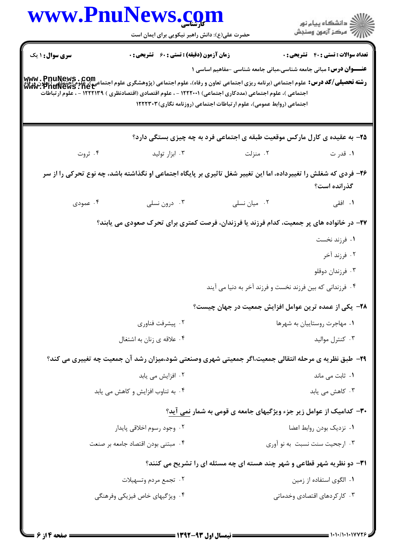|                                                                                                                                                                                           | <b>www.PnuNews.co</b><br>حضرت علی(ع): دانش راهبر نیکویی برای ایمان است                                           |                                                                                                                                                  | ≦ دانشڪاه پيام نور<br>7- مرڪز آزمون وسنڊش                                  |
|-------------------------------------------------------------------------------------------------------------------------------------------------------------------------------------------|------------------------------------------------------------------------------------------------------------------|--------------------------------------------------------------------------------------------------------------------------------------------------|----------------------------------------------------------------------------|
| <b>سری سوال : ۱ یک</b>                                                                                                                                                                    | <b>زمان آزمون (دقیقه) : تستی : 60 ٪ تشریحی : 0</b>                                                               |                                                                                                                                                  | <b>تعداد سوالات : تستي : 40 - تشريحي : 0</b>                               |
| <b>www . PnuNews . Com</b><br>و <b>اشته تحصیلی/کد درس:</b> علوم اجتماعی (برنامه ریزی اجتماعی تعاون و رفاه)، علوم اجتماعی (پژوهشگری علوم اجتماع <mark>ت و ات</mark><br>WWW . PnuNews . net | اجتماعی )، علوم اجتماعی (مددکاری اجتماعی) ۱۲۲۲۰۰۱ - ، علوم اقتصادی (اقتصادنظری ) ۱۲۲۲۱۳۹ - ، علوم ار تباطات      | <b>عنـــوان درس:</b> مبانی جامعه شناسی،مبانی جامعه شناسی -مفاهیم اساسی ۱<br>اجتماعی (روابط عمومی)، علوم ارتباطات اجتماعی (روزنامه نگاری) ۱۲۲۲۳۰۳ |                                                                            |
|                                                                                                                                                                                           |                                                                                                                  |                                                                                                                                                  | ۲۵- به عقیده ی کارل مارکس موقعیت طبقه ی اجتماعی فرد به چه چیزی بستگی دارد؟ |
| ۰۴ ثروت                                                                                                                                                                                   | ۰۳ ابزار تولید                                                                                                   | ۰۲ منزلت                                                                                                                                         | ۰۱ قدر ت                                                                   |
|                                                                                                                                                                                           | ۲۶- فردی که شغلش را تغییرداده، اما این تغییر شغل تاثیری بر پایگاه اجتماعی او نگذاشته باشد، چه نوع تحرکی را از سر |                                                                                                                                                  | گذرانده است؟                                                               |
| ۰۴ عمودی                                                                                                                                                                                  | ۰۳ درون نسلی                                                                                                     | ۰۲ میان نسلی                                                                                                                                     | ۰۱ افقی                                                                    |
|                                                                                                                                                                                           | ۲۷- در خانواده های پر جمعیت، کدام فرزند یا فرزندان، فرصت کمتری برای تحرک صعودی می یابند؟                         |                                                                                                                                                  |                                                                            |
|                                                                                                                                                                                           |                                                                                                                  |                                                                                                                                                  | ۰۱ فرزند نخست                                                              |
|                                                                                                                                                                                           |                                                                                                                  |                                                                                                                                                  | ۰۲ فرزند آخر                                                               |
|                                                                                                                                                                                           |                                                                                                                  |                                                                                                                                                  | ۰۳ فرزندان دوقلو                                                           |
|                                                                                                                                                                                           |                                                                                                                  | ۰۴ فرزندانی که بین فرزند نخست و فرزند آخر به دنیا می آیند                                                                                        |                                                                            |
|                                                                                                                                                                                           |                                                                                                                  | ۲۸− یکی از عمده ترین عوامل افزایش جمعیت در جهان چیست؟                                                                                            |                                                                            |
|                                                                                                                                                                                           | ۰۲ پیشرفت فناوری                                                                                                 |                                                                                                                                                  | ۰۱ مهاجرت روستاييان به شهرها                                               |
|                                                                                                                                                                                           | ۰۴ علاقه ی زنان به اشتغال                                                                                        |                                                                                                                                                  | ۰۳ کنترل مواليد                                                            |
|                                                                                                                                                                                           | ۲۹- طبق نظریه ی مرحله انتقالی جمعیت،اگر جمعیتی شهری وصنعتی شود،میزان رشد آن جمعیت چه تغییری می کند؟              |                                                                                                                                                  |                                                                            |
|                                                                                                                                                                                           | ۰۲ افزایش می یابد                                                                                                |                                                                                                                                                  | ۰۱ ثابت می ماند                                                            |
|                                                                                                                                                                                           | ۰۴ به تناوب افزایش و کاهش می یابد                                                                                |                                                                                                                                                  | ۰۳ کاهش می یابد                                                            |
|                                                                                                                                                                                           |                                                                                                                  | ۳۰- کدامیک از عوامل زیر جزء ویژگیهای جامعه ی قومی به شمار نمی آید؟                                                                               |                                                                            |
|                                                                                                                                                                                           | ۰۲ وجود رسوم اخلاقی پایدار                                                                                       |                                                                                                                                                  | ٠١ نزديک بودن روابط اعضا                                                   |
|                                                                                                                                                                                           | ۰۴ مبتنی بودن اقتصاد جامعه بر صنعت                                                                               |                                                                                                                                                  | ۰۳ ارجحیت سنت نسبت به نو آوری                                              |
|                                                                                                                                                                                           |                                                                                                                  | <b>۳۱</b> - دو نظریه شهر قطاعی و شهر چند هسته ای چه مسئله ای را تشریح می کنند؟                                                                   |                                                                            |
|                                                                                                                                                                                           | ۰۲ تجمع مردم وتسهيلات                                                                                            |                                                                                                                                                  | ٠١. الگوى استفاده از زمين                                                  |
|                                                                                                                                                                                           |                                                                                                                  |                                                                                                                                                  |                                                                            |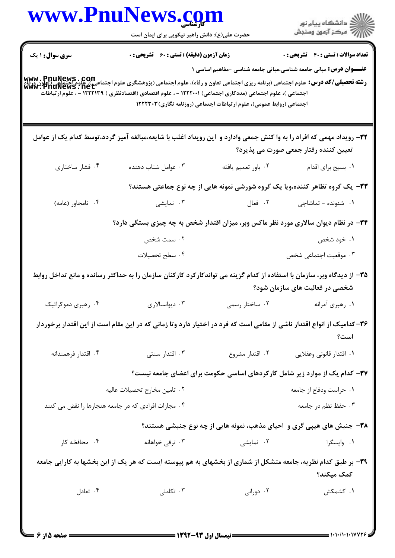|                                                                                                                                                                                                    | حضرت علی(ع): دانش راهبر نیکویی برای ایمان است                                                                                                              |                                                                      | ِ<br>∭ دانشڪاه پيام نور<br>∭ مرڪز آزمون وسنڊش                                                                            |
|----------------------------------------------------------------------------------------------------------------------------------------------------------------------------------------------------|------------------------------------------------------------------------------------------------------------------------------------------------------------|----------------------------------------------------------------------|--------------------------------------------------------------------------------------------------------------------------|
| <b>سری سوال :</b> ۱ یک<br> www . PnuNews . COm<br>و <b>شته تحصیلی/کد درس:</b> علوم اجتماعی (برنامه ریزی اجتماعی تعاون و رفاه)، علوم اجتماعی ی علوم اجتماعی )، علوم احتماعی<br> www . PnuNews . net | زمان آزمون (دقیقه) : تستی : 60 ٪ تشریحی : 0<br>اجتماعی )، علوم اجتماعی (مددکاری اجتماعی) ۱۲۲۲۰۰۱ - ، علوم اقتصادی (اقتصادنظری ) ۱۲۲۲۱۳۹ - ، علوم ار تباطات | اجتماعی (روابط عمومی)، علوم ارتباطات اجتماعی (روزنامه نگاری) ۱۲۲۲۳۰۳ | <b>تعداد سوالات : تستی : 40 ٪ تشریحی : 0</b><br><b>عنـــوان درس:</b> مبانی جامعه شناسی،مبانی جامعه شناسی -مفاهیم اساسی ۱ |
|                                                                                                                                                                                                    | ۳۲– رویداد مهمی که افراد را به وا کنش جمعی وادارد و  این رویداد اغلب با شایعه،مبالغه آمیز گردد،توسط کدام یک از عوامل                                       |                                                                      | تعیین کننده رفتار جمعی صورت می پذیرد؟                                                                                    |
| ۰۴ فشار ساختاري                                                                                                                                                                                    | ۰۳ عوامل شتاب دهنده                                                                                                                                        | ٠٢ باور تعميم يافته                                                  | ٠١ بسيج براي اقدام                                                                                                       |
|                                                                                                                                                                                                    |                                                                                                                                                            |                                                                      | ۳۳- یک گروه تظاهر کننده،ویا یک گروه شورشی نمونه هایی از چه نوع جماعتی هستند؟                                             |
| ۰۴ نامجاور (عامه)                                                                                                                                                                                  | ۰۳ نمایشی                                                                                                                                                  | ۰۲ فعال                                                              | ۰۱ شنونده - تماشاچ <sub>ی</sub>                                                                                          |
|                                                                                                                                                                                                    | ۳۴- در نظام دیوان سالاری مورد نظر ماکس وبر، میزان اقتدار شخص به چه چیزی بستگی دارد؟                                                                        |                                                                      |                                                                                                                          |
|                                                                                                                                                                                                    | ۰۲ سمت شخص                                                                                                                                                 |                                                                      | ۰۱ خود شخص                                                                                                               |
|                                                                                                                                                                                                    | ۰۴ سطح تحصیلات                                                                                                                                             |                                                                      | ۰۳ موقعیت اجتماعی شخص                                                                                                    |
|                                                                                                                                                                                                    | ۳۵– از دیدگاه وبر، سازمان با استفاده از کدام گزینه می تواندکارکرد کارکنان سازمان را به حداکثر رسانده و مانع تداخل روابط                                    |                                                                      | شخصی در فعالیت های سازمان شود؟                                                                                           |
| ۰۴ رهبری دموکراتیک                                                                                                                                                                                 | ۰۳ دیوانسالاری                                                                                                                                             | ۰۲ ساختار رسم <i>ی</i>                                               | ۰۱ رهبری آمرانه                                                                                                          |
|                                                                                                                                                                                                    | ۳۶– کدامیک از انواع اقتدار ناشی از مقامی است که فرد در اختیار دارد وتا زمانی که در این مقام است از این اقتدار برخوردار                                     |                                                                      | است؟                                                                                                                     |
| ۰۴ اقتدار فرهمندانه                                                                                                                                                                                | ۰۳ اقتدار سنتی                                                                                                                                             | ۰۲ اقتدار مشروع                                                      | ٠١. اقتدار قانوني وعقلايي                                                                                                |
|                                                                                                                                                                                                    |                                                                                                                                                            |                                                                      | <b>۳۷</b> – کدام یک از موارد زیر شامل کارکردهای اساسی حکومت برای اعضای جامعه نیست؟                                       |
|                                                                                                                                                                                                    | ۰۲ تامین مخارج تحصیلات عالیه                                                                                                                               |                                                                      | ۰۱ حراست ودفاع از جامعه                                                                                                  |
|                                                                                                                                                                                                    | ۰۴ مجازات افرادی که در جامعه هنجارها را نقض می کنند                                                                                                        |                                                                      | ۰۳ حفظ نظم در جامعه                                                                                                      |
|                                                                                                                                                                                                    |                                                                                                                                                            |                                                                      | ۳۸- جنبش های هیپی گری و احیای مذهب، نمونه هایی از چه نوع جنبشی هستند؟                                                    |
| ۰۴ محافظه کار                                                                                                                                                                                      | ۰۳ ترقی خواهانه                                                                                                                                            | ۰۲ نمایشی                                                            | ۰۱ واپسگرا                                                                                                               |
|                                                                                                                                                                                                    | ۳۹– بر طبق کدام نظریه، جامعه متشکل از شماری از بخشهای به هم پیوسته ایست که هر یک از این بخشها به کارایی جامعه                                              |                                                                      | کمک میکند؟                                                                                                               |
|                                                                                                                                                                                                    |                                                                                                                                                            | ۰۲ دورانی                                                            | ۰۱ کشمکش                                                                                                                 |